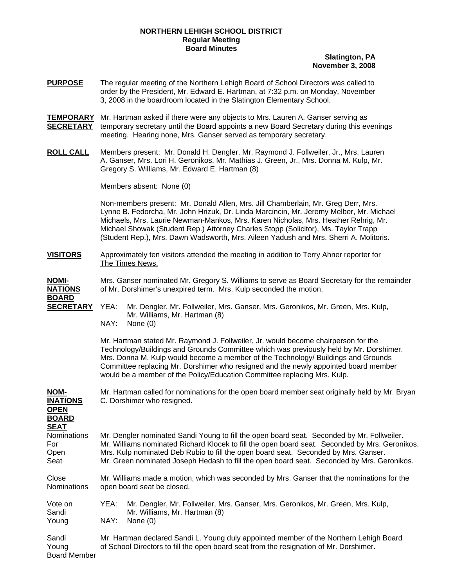### **NORTHERN LEHIGH SCHOOL DISTRICT Regular Meeting Board Minutes**

## **Slatington, PA November 3, 2008**

- **PURPOSE** The regular meeting of the Northern Lehigh Board of School Directors was called to order by the President, Mr. Edward E. Hartman, at 7:32 p.m. on Monday, November 3, 2008 in the boardroom located in the Slatington Elementary School.
- **TEMPORARY** Mr. Hartman asked if there were any objects to Mrs. Lauren A. Ganser serving as **SECRETARY** temporary secretary until the Board appoints a new Board Secretary during this evenings meeting. Hearing none, Mrs. Ganser served as temporary secretary.
- **ROLL CALL** Members present: Mr. Donald H. Dengler, Mr. Raymond J. Follweiler, Jr., Mrs. Lauren A. Ganser, Mrs. Lori H. Geronikos, Mr. Mathias J. Green, Jr., Mrs. Donna M. Kulp, Mr. Gregory S. Williams, Mr. Edward E. Hartman (8)

Members absent: None (0)

Non-members present: Mr. Donald Allen, Mrs. Jill Chamberlain, Mr. Greg Derr, Mrs. Lynne B. Fedorcha, Mr. John Hrizuk, Dr. Linda Marcincin, Mr. Jeremy Melber, Mr. Michael Michaels, Mrs. Laurie Newman-Mankos, Mrs. Karen Nicholas, Mrs. Heather Rehrig, Mr. Michael Showak (Student Rep.) Attorney Charles Stopp (Solicitor), Ms. Taylor Trapp (Student Rep.), Mrs. Dawn Wadsworth, Mrs. Aileen Yadush and Mrs. Sherri A. Molitoris.

**VISITORS** Approximately ten visitors attended the meeting in addition to Terry Ahner reporter for The Times News.

**NOMI-** Mrs. Ganser nominated Mr. Gregory S. Williams to serve as Board Secretary for the remainder **NATIONS** of Mr. Dorshimer's unexpired term. Mrs. Kulp seconded the motion.

**BOARD**

**SECRETARY** YEA: Mr. Dengler, Mr. Follweiler, Mrs. Ganser, Mrs. Geronikos, Mr. Green, Mrs. Kulp, Mr. Williams, Mr. Hartman (8) NAY: None (0)

> Mr. Hartman stated Mr. Raymond J. Follweiler, Jr. would become chairperson for the Technology/Buildings and Grounds Committee which was previously held by Mr. Dorshimer. Mrs. Donna M. Kulp would become a member of the Technology/ Buildings and Grounds Committee replacing Mr. Dorshimer who resigned and the newly appointed board member would be a member of the Policy/Education Committee replacing Mrs. Kulp.

# **NOM-** Mr. Hartman called for nominations for the open board member seat originally held by Mr. Bryan **INATIONS** C. Dorshimer who resigned. **OPEN BOARD SEAT** Nominations Mr. Dengler nominated Sandi Young to fill the open board seat. Seconded by Mr. Follweiler. For **Mr. Williams nominated Richard Klocek to fill the open board seat. Seconded by Mrs. Geronikos.** Open Mrs. Kulp nominated Deb Rubio to fill the open board seat. Seconded by Mrs. Ganser. Seat Mr. Green nominated Joseph Hedash to fill the open board seat. Seconded by Mrs. Geronikos. Close Mr. Williams made a motion, which was seconded by Mrs. Ganser that the nominations for the Nominations open board seat be closed. Vote on YEA: Mr. Dengler, Mr. Follweiler, Mrs. Ganser, Mrs. Geronikos, Mr. Green, Mrs. Kulp, Sandi Mr. Williams, Mr. Hartman (8) Young NAY: None (0) Sandi Mr. Hartman declared Sandi L. Young duly appointed member of the Northern Lehigh Board<br>Young of School Directors to fill the open board seat from the resignation of Mr. Dorshimer. of School Directors to fill the open board seat from the resignation of Mr. Dorshimer.

Board Member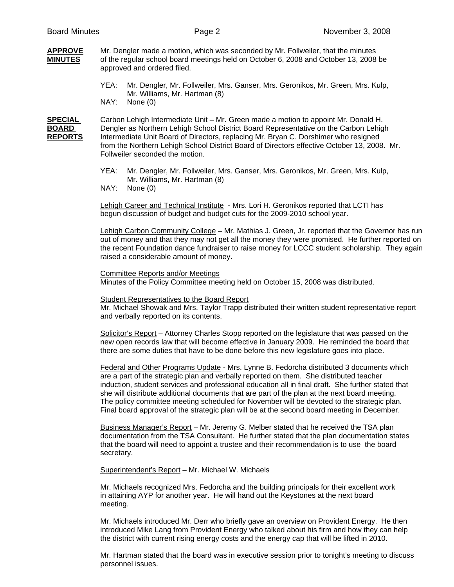#### **APPROVE** Mr. Dengler made a motion, which was seconded by Mr. Follweiler, that the minutes **MINUTES** of the regular school board meetings held on October 6, 2008 and October 13, 2008 be approved and ordered filed.

- YEA: Mr. Dengler, Mr. Follweiler, Mrs. Ganser, Mrs. Geronikos, Mr. Green, Mrs. Kulp, Mr. Williams, Mr. Hartman (8)
- NAY: None (0)

**SPECIAL** Carbon Lehigh Intermediate Unit – Mr. Green made a motion to appoint Mr. Donald H. **BOARD** Dengler as Northern Lehigh School District Board Representative on the Carbon Lehigh **REPORTS** Intermediate Unit Board of Directors, replacing Mr. Bryan C. Dorshimer who resigned from the Northern Lehigh School District Board of Directors effective October 13, 2008. Mr. Follweiler seconded the motion.

- YEA: Mr. Dengler, Mr. Follweiler, Mrs. Ganser, Mrs. Geronikos, Mr. Green, Mrs. Kulp, Mr. Williams, Mr. Hartman (8)
- NAY: None (0)

Lehigh Career and Technical Institute - Mrs. Lori H. Geronikos reported that LCTI has begun discussion of budget and budget cuts for the 2009-2010 school year.

Lehigh Carbon Community College – Mr. Mathias J. Green, Jr. reported that the Governor has run out of money and that they may not get all the money they were promised. He further reported on the recent Foundation dance fundraiser to raise money for LCCC student scholarship. They again raised a considerable amount of money.

# Committee Reports and/or Meetings

Minutes of the Policy Committee meeting held on October 15, 2008 was distributed.

#### Student Representatives to the Board Report

 Mr. Michael Showak and Mrs. Taylor Trapp distributed their written student representative report and verbally reported on its contents.

 Solicitor's Report – Attorney Charles Stopp reported on the legislature that was passed on the new open records law that will become effective in January 2009. He reminded the board that there are some duties that have to be done before this new legislature goes into place.

 Federal and Other Programs Update - Mrs. Lynne B. Fedorcha distributed 3 documents which are a part of the strategic plan and verbally reported on them. She distributed teacher induction, student services and professional education all in final draft. She further stated that she will distribute additional documents that are part of the plan at the next board meeting. The policy committee meeting scheduled for November will be devoted to the strategic plan. Final board approval of the strategic plan will be at the second board meeting in December.

Business Manager's Report – Mr. Jeremy G. Melber stated that he received the TSA plan documentation from the TSA Consultant. He further stated that the plan documentation states that the board will need to appoint a trustee and their recommendation is to use the board secretary.

Superintendent's Report – Mr. Michael W. Michaels

Mr. Michaels recognized Mrs. Fedorcha and the building principals for their excellent work in attaining AYP for another year. He will hand out the Keystones at the next board meeting.

Mr. Michaels introduced Mr. Derr who briefly gave an overview on Provident Energy. He then introduced Mike Lang from Provident Energy who talked about his firm and how they can help the district with current rising energy costs and the energy cap that will be lifted in 2010.

Mr. Hartman stated that the board was in executive session prior to tonight's meeting to discuss personnel issues.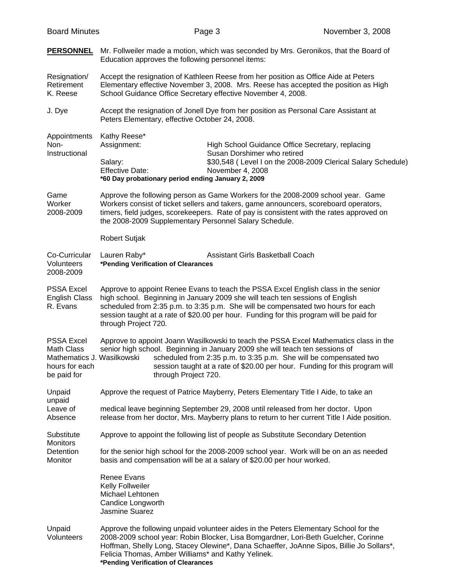| <b>PERSONNEL</b>                                                                               | Mr. Follweiler made a motion, which was seconded by Mrs. Geronikos, that the Board of<br>Education approves the following personnel items:                                                                                                                                                                                                                                 |                                                                                                                                                                                                                                                                        |  |  |  |
|------------------------------------------------------------------------------------------------|----------------------------------------------------------------------------------------------------------------------------------------------------------------------------------------------------------------------------------------------------------------------------------------------------------------------------------------------------------------------------|------------------------------------------------------------------------------------------------------------------------------------------------------------------------------------------------------------------------------------------------------------------------|--|--|--|
| Resignation/<br>Retirement<br>K. Reese                                                         | Accept the resignation of Kathleen Reese from her position as Office Aide at Peters<br>Elementary effective November 3, 2008. Mrs. Reese has accepted the position as High<br>School Guidance Office Secretary effective November 4, 2008.                                                                                                                                 |                                                                                                                                                                                                                                                                        |  |  |  |
| J. Dye                                                                                         | Accept the resignation of Jonell Dye from her position as Personal Care Assistant at<br>Peters Elementary, effective October 24, 2008.                                                                                                                                                                                                                                     |                                                                                                                                                                                                                                                                        |  |  |  |
| Appointments<br>Non-<br>Instructional                                                          | Kathy Reese*<br>Assignment:<br>Salary:<br><b>Effective Date:</b><br>*60 Day probationary period ending January 2, 2009                                                                                                                                                                                                                                                     | High School Guidance Office Secretary, replacing<br>Susan Dorshimer who retired<br>\$30,548 (Level I on the 2008-2009 Clerical Salary Schedule)<br>November 4, 2008                                                                                                    |  |  |  |
| Game<br>Worker<br>2008-2009                                                                    | Approve the following person as Game Workers for the 2008-2009 school year. Game<br>Workers consist of ticket sellers and takers, game announcers, scoreboard operators,<br>timers, field judges, scorekeepers. Rate of pay is consistent with the rates approved on<br>the 2008-2009 Supplementary Personnel Salary Schedule.                                             |                                                                                                                                                                                                                                                                        |  |  |  |
|                                                                                                | <b>Robert Sutjak</b>                                                                                                                                                                                                                                                                                                                                                       |                                                                                                                                                                                                                                                                        |  |  |  |
| Co-Curricular<br>Volunteers<br>2008-2009                                                       | Lauren Raby*<br>*Pending Verification of Clearances                                                                                                                                                                                                                                                                                                                        | Assistant Girls Basketball Coach                                                                                                                                                                                                                                       |  |  |  |
| <b>PSSA Excel</b><br><b>English Class</b><br>R. Evans                                          | Approve to appoint Renee Evans to teach the PSSA Excel English class in the senior<br>high school. Beginning in January 2009 she will teach ten sessions of English<br>scheduled from 2:35 p.m. to 3:35 p.m. She will be compensated two hours for each<br>session taught at a rate of \$20.00 per hour. Funding for this program will be paid for<br>through Project 720. |                                                                                                                                                                                                                                                                        |  |  |  |
| <b>PSSA Excel</b><br>Math Class<br>Mathematics J. Wasilkowski<br>hours for each<br>be paid for | Approve to appoint Joann Wasilkowski to teach the PSSA Excel Mathematics class in the<br>senior high school. Beginning in January 2009 she will teach ten sessions of<br>scheduled from 2:35 p.m. to 3:35 p.m. She will be compensated two<br>session taught at a rate of \$20.00 per hour. Funding for this program will<br>through Project 720.                          |                                                                                                                                                                                                                                                                        |  |  |  |
| Unpaid<br>unpaid                                                                               |                                                                                                                                                                                                                                                                                                                                                                            | Approve the request of Patrice Mayberry, Peters Elementary Title I Aide, to take an                                                                                                                                                                                    |  |  |  |
| Leave of<br>Absence                                                                            |                                                                                                                                                                                                                                                                                                                                                                            | medical leave beginning September 29, 2008 until released from her doctor. Upon<br>release from her doctor, Mrs. Mayberry plans to return to her current Title I Aide position.                                                                                        |  |  |  |
| Substitute<br>Monitors<br>Detention<br>Monitor                                                 |                                                                                                                                                                                                                                                                                                                                                                            | Approve to appoint the following list of people as Substitute Secondary Detention                                                                                                                                                                                      |  |  |  |
|                                                                                                | for the senior high school for the 2008-2009 school year. Work will be on an as needed<br>basis and compensation will be at a salary of \$20.00 per hour worked.                                                                                                                                                                                                           |                                                                                                                                                                                                                                                                        |  |  |  |
|                                                                                                | <b>Renee Evans</b><br>Kelly Follweiler<br>Michael Lehtonen<br>Candice Longworth<br><b>Jasmine Suarez</b>                                                                                                                                                                                                                                                                   |                                                                                                                                                                                                                                                                        |  |  |  |
| Unpaid<br>Volunteers                                                                           | Felicia Thomas, Amber Williams* and Kathy Yelinek.<br>*Pending Verification of Clearances                                                                                                                                                                                                                                                                                  | Approve the following unpaid volunteer aides in the Peters Elementary School for the<br>2008-2009 school year: Robin Blocker, Lisa Bomgardner, Lori-Beth Guelcher, Corinne<br>Hoffman, Shelly Long, Stacey Olewine*, Dana Schaeffer, JoAnne Sipos, Billie Jo Sollars*, |  |  |  |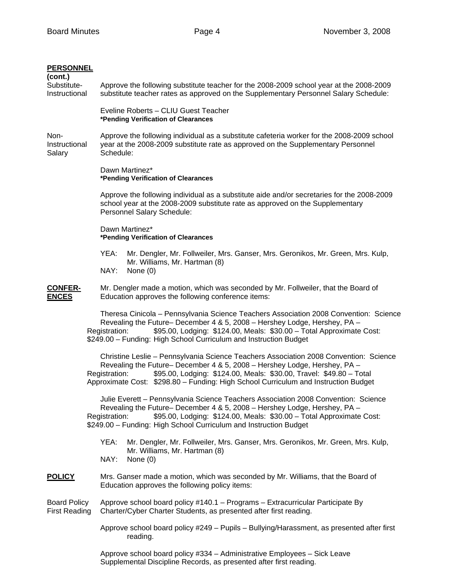|  | <b>PERSONNEL</b> |  |  |
|--|------------------|--|--|
|  |                  |  |  |

| <b>PERSONNEL</b><br>(cont.)     |                                                                                                                                                                                                                                                                                                                                                   |  |  |  |  |
|---------------------------------|---------------------------------------------------------------------------------------------------------------------------------------------------------------------------------------------------------------------------------------------------------------------------------------------------------------------------------------------------|--|--|--|--|
| Substitute-<br>Instructional    | Approve the following substitute teacher for the 2008-2009 school year at the 2008-2009<br>substitute teacher rates as approved on the Supplementary Personnel Salary Schedule:                                                                                                                                                                   |  |  |  |  |
|                                 | Eveline Roberts - CLIU Guest Teacher<br>*Pending Verification of Clearances                                                                                                                                                                                                                                                                       |  |  |  |  |
| Non-<br>Instructional<br>Salary | Approve the following individual as a substitute cafeteria worker for the 2008-2009 school<br>year at the 2008-2009 substitute rate as approved on the Supplementary Personnel<br>Schedule:                                                                                                                                                       |  |  |  |  |
|                                 | Dawn Martinez*<br>*Pending Verification of Clearances                                                                                                                                                                                                                                                                                             |  |  |  |  |
|                                 | Approve the following individual as a substitute aide and/or secretaries for the 2008-2009<br>school year at the 2008-2009 substitute rate as approved on the Supplementary<br>Personnel Salary Schedule:                                                                                                                                         |  |  |  |  |
|                                 | Dawn Martinez*<br>*Pending Verification of Clearances                                                                                                                                                                                                                                                                                             |  |  |  |  |
|                                 | YEA:<br>Mr. Dengler, Mr. Follweiler, Mrs. Ganser, Mrs. Geronikos, Mr. Green, Mrs. Kulp,<br>Mr. Williams, Mr. Hartman (8)<br>NAY:<br>None $(0)$                                                                                                                                                                                                    |  |  |  |  |
| <b>CONFER-</b><br><b>ENCES</b>  | Mr. Dengler made a motion, which was seconded by Mr. Follweiler, that the Board of<br>Education approves the following conference items:                                                                                                                                                                                                          |  |  |  |  |
|                                 | Theresa Cinicola - Pennsylvania Science Teachers Association 2008 Convention: Science<br>Revealing the Future- December 4 & 5, 2008 - Hershey Lodge, Hershey, PA -<br>\$95.00, Lodging: \$124.00, Meals: \$30.00 - Total Approximate Cost:<br>Registration:<br>\$249.00 - Funding: High School Curriculum and Instruction Budget                  |  |  |  |  |
|                                 | Christine Leslie - Pennsylvania Science Teachers Association 2008 Convention: Science<br>Revealing the Future- December 4 & 5, 2008 - Hershey Lodge, Hershey, PA -<br>\$95.00, Lodging: \$124.00, Meals: \$30.00, Travel: \$49.80 - Total<br>Registration:<br>Approximate Cost: \$298.80 - Funding: High School Curriculum and Instruction Budget |  |  |  |  |
|                                 | Julie Everett - Pennsylvania Science Teachers Association 2008 Convention: Science<br>Revealing the Future– December 4 & 5, 2008 – Hershey Lodge, Hershey, PA –<br>\$95.00, Lodging: \$124.00, Meals: \$30.00 - Total Approximate Cost:<br>Registration:<br>\$249.00 - Funding: High School Curriculum and Instruction Budget                     |  |  |  |  |
|                                 | YEA:<br>Mr. Dengler, Mr. Follweiler, Mrs. Ganser, Mrs. Geronikos, Mr. Green, Mrs. Kulp,<br>Mr. Williams, Mr. Hartman (8)<br>NAY:<br>None $(0)$                                                                                                                                                                                                    |  |  |  |  |
| <b>POLICY</b>                   | Mrs. Ganser made a motion, which was seconded by Mr. Williams, that the Board of<br>Education approves the following policy items:                                                                                                                                                                                                                |  |  |  |  |
|                                 |                                                                                                                                                                                                                                                                                                                                                   |  |  |  |  |

Board Policy Approve school board policy #140.1 – Programs – Extracurricular Participate By First Reading Charter/Cyber Charter Students, as presented after first reading.

> Approve school board policy #249 – Pupils – Bullying/Harassment, as presented after first reading.

Approve school board policy #334 – Administrative Employees – Sick Leave Supplemental Discipline Records, as presented after first reading.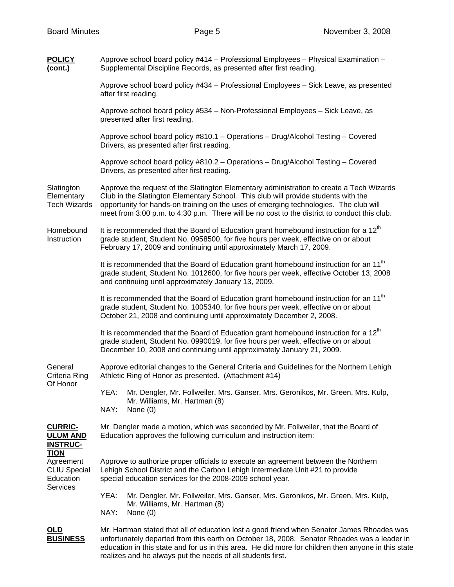**POLICY** Approve school board policy #414 – Professional Employees – Physical Examination – **(cont.)** Supplemental Discipline Records, as presented after first reading. Approve school board policy #434 – Professional Employees – Sick Leave, as presented after first reading. Approve school board policy #534 – Non-Professional Employees – Sick Leave, as presented after first reading. Approve school board policy #810.1 – Operations – Drug/Alcohol Testing – Covered Drivers, as presented after first reading. Approve school board policy #810.2 – Operations – Drug/Alcohol Testing – Covered Drivers, as presented after first reading. Slatington Approve the request of the Slatington Elementary administration to create a Tech Wizards Elementary Club in the Slatington Elementary School. This club will provide students with the Elub Clementary<br>Tech Wizards opportunity for hands-on training on the uses of emerging technologies. The club opportunity for hands-on training on the uses of emerging technologies. The club will meet from 3:00 p.m. to 4:30 p.m. There will be no cost to the district to conduct this club. Homebound It is recommended that the Board of Education grant homebound instruction for a  $12<sup>th</sup>$ Instruction grade student, Student No. 0958500, for five hours per week, effective on or about February 17, 2009 and continuing until approximately March 17, 2009. It is recommended that the Board of Education grant homebound instruction for an 11<sup>th</sup> grade student, Student No. 1012600, for five hours per week, effective October 13, 2008 and continuing until approximately January 13, 2009. It is recommended that the Board of Education grant homebound instruction for an  $11<sup>th</sup>$ grade student, Student No. 1005340, for five hours per week, effective on or about October 21, 2008 and continuing until approximately December 2, 2008. It is recommended that the Board of Education grant homebound instruction for a  $12<sup>m</sup>$ grade student, Student No. 0990019, for five hours per week, effective on or about December 10, 2008 and continuing until approximately January 21, 2009. General Approve editorial changes to the General Criteria and Guidelines for the Northern Lehigh Criteria Ring Athletic Ring of Honor as presented. (Attachment #14) Of Honor YEA: Mr. Dengler, Mr. Follweiler, Mrs. Ganser, Mrs. Geronikos, Mr. Green, Mrs. Kulp, Mr. Williams, Mr. Hartman (8) NAY: None (0) **CURRIC-** Mr. Dengler made a motion, which was seconded by Mr. Follweiler, that the Board of **ULUM AND** Education approves the following curriculum and instruction item: **INSTRUC-TION** Agreement Approve to authorize proper officials to execute an agreement between the Northern CLIU Special Lehigh School District and the Carbon Lehigh Intermediate Unit #21 to provide Education special education services for the 2008-2009 school year. **Services**  YEA: Mr. Dengler, Mr. Follweiler, Mrs. Ganser, Mrs. Geronikos, Mr. Green, Mrs. Kulp, Mr. Williams, Mr. Hartman (8) NAY: None (0) **OLD** Mr. Hartman stated that all of education lost a good friend when Senator James Rhoades was **BUSINESS** unfortunately departed from this earth on October 18, 2008. Senator Rhoades was a leader in education in this state and for us in this area. He did more for children then anyone in this state

realizes and he always put the needs of all students first.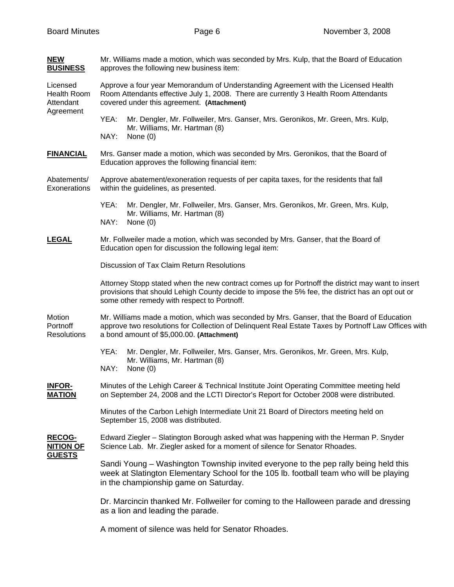| <b>NEW</b><br><b>BUSINESS</b>                            | Mr. Williams made a motion, which was seconded by Mrs. Kulp, that the Board of Education<br>approves the following new business item:                                                                                                                |  |  |  |  |  |
|----------------------------------------------------------|------------------------------------------------------------------------------------------------------------------------------------------------------------------------------------------------------------------------------------------------------|--|--|--|--|--|
| Licensed<br><b>Health Room</b><br>Attendant<br>Agreement | Approve a four year Memorandum of Understanding Agreement with the Licensed Health<br>Room Attendants effective July 1, 2008. There are currently 3 Health Room Attendants<br>covered under this agreement. (Attachment)                             |  |  |  |  |  |
|                                                          | YEA:<br>Mr. Dengler, Mr. Follweiler, Mrs. Ganser, Mrs. Geronikos, Mr. Green, Mrs. Kulp,<br>Mr. Williams, Mr. Hartman (8)<br>NAY:<br>None $(0)$                                                                                                       |  |  |  |  |  |
| <b>FINANCIAL</b>                                         | Mrs. Ganser made a motion, which was seconded by Mrs. Geronikos, that the Board of<br>Education approves the following financial item:                                                                                                               |  |  |  |  |  |
| Abatements/<br>Exonerations                              | Approve abatement/exoneration requests of per capita taxes, for the residents that fall<br>within the guidelines, as presented.                                                                                                                      |  |  |  |  |  |
|                                                          | Mr. Dengler, Mr. Follweiler, Mrs. Ganser, Mrs. Geronikos, Mr. Green, Mrs. Kulp,<br>YEA:<br>Mr. Williams, Mr. Hartman (8)<br>NAY:<br>None $(0)$                                                                                                       |  |  |  |  |  |
| <b>LEGAL</b>                                             | Mr. Follweiler made a motion, which was seconded by Mrs. Ganser, that the Board of<br>Education open for discussion the following legal item:                                                                                                        |  |  |  |  |  |
|                                                          | Discussion of Tax Claim Return Resolutions                                                                                                                                                                                                           |  |  |  |  |  |
|                                                          | Attorney Stopp stated when the new contract comes up for Portnoff the district may want to insert<br>provisions that should Lehigh County decide to impose the 5% fee, the district has an opt out or<br>some other remedy with respect to Portnoff. |  |  |  |  |  |
| Motion<br>Portnoff<br><b>Resolutions</b>                 | Mr. Williams made a motion, which was seconded by Mrs. Ganser, that the Board of Education<br>approve two resolutions for Collection of Delinquent Real Estate Taxes by Portnoff Law Offices with<br>a bond amount of \$5,000.00. (Attachment)       |  |  |  |  |  |
|                                                          | YEA:<br>Mr. Dengler, Mr. Follweiler, Mrs. Ganser, Mrs. Geronikos, Mr. Green, Mrs. Kulp,<br>Mr. Williams, Mr. Hartman (8)<br>NAY:<br>None $(0)$                                                                                                       |  |  |  |  |  |
| <b>INFOR-</b><br><b>MATION</b>                           | Minutes of the Lehigh Career & Technical Institute Joint Operating Committee meeting held<br>on September 24, 2008 and the LCTI Director's Report for October 2008 were distributed.                                                                 |  |  |  |  |  |
|                                                          | Minutes of the Carbon Lehigh Intermediate Unit 21 Board of Directors meeting held on<br>September 15, 2008 was distributed.                                                                                                                          |  |  |  |  |  |
| <b>RECOG-</b><br><b>NITION OF</b><br><b>GUESTS</b>       | Edward Ziegler - Slatington Borough asked what was happening with the Herman P. Snyder<br>Science Lab. Mr. Ziegler asked for a moment of silence for Senator Rhoades.                                                                                |  |  |  |  |  |
|                                                          | Sandi Young – Washington Township invited everyone to the pep rally being held this<br>week at Slatington Elementary School for the 105 lb. football team who will be playing<br>in the championship game on Saturday.                               |  |  |  |  |  |
|                                                          | Dr. Marcincin thanked Mr. Follweiler for coming to the Halloween parade and dressing<br>as a lion and leading the parade.                                                                                                                            |  |  |  |  |  |
|                                                          | A moment of silence was held for Senator Rhoades.                                                                                                                                                                                                    |  |  |  |  |  |